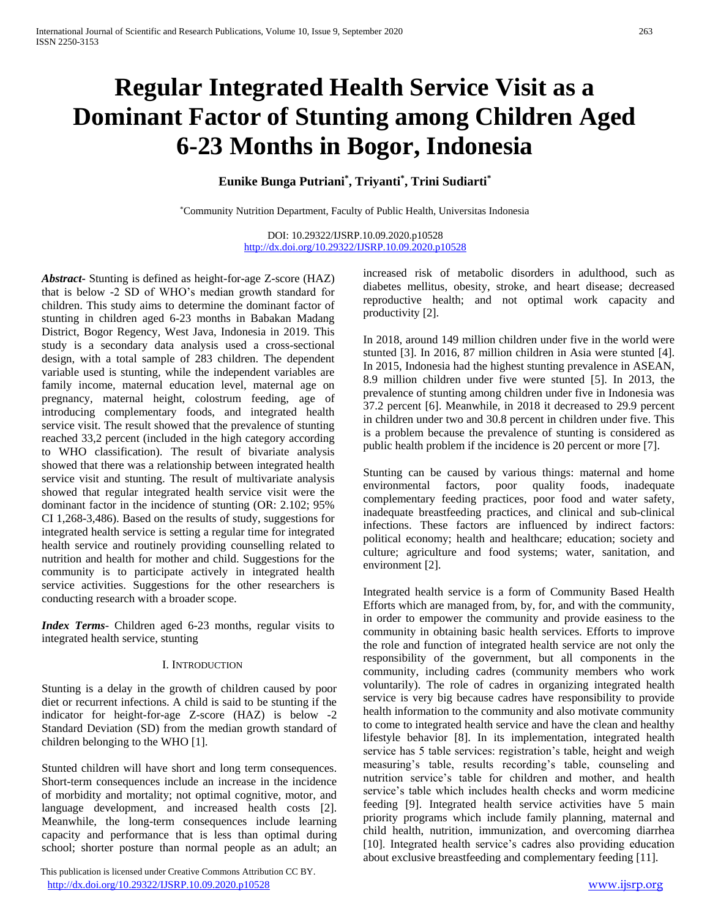# **Regular Integrated Health Service Visit as a Dominant Factor of Stunting among Children Aged 6-23 Months in Bogor, Indonesia**

**Eunike Bunga Putriani\* , Triyanti\* , Trini Sudiarti\***

\*Community Nutrition Department, Faculty of Public Health, Universitas Indonesia

DOI: 10.29322/IJSRP.10.09.2020.p10528 <http://dx.doi.org/10.29322/IJSRP.10.09.2020.p10528>

*Abstract***-** Stunting is defined as height-for-age Z-score (HAZ) that is below -2 SD of WHO's median growth standard for children. This study aims to determine the dominant factor of stunting in children aged 6-23 months in Babakan Madang District, Bogor Regency, West Java, Indonesia in 2019. This study is a secondary data analysis used a cross-sectional design, with a total sample of 283 children. The dependent variable used is stunting, while the independent variables are family income, maternal education level, maternal age on pregnancy, maternal height, colostrum feeding, age of introducing complementary foods, and integrated health service visit. The result showed that the prevalence of stunting reached 33,2 percent (included in the high category according to WHO classification). The result of bivariate analysis showed that there was a relationship between integrated health service visit and stunting. The result of multivariate analysis showed that regular integrated health service visit were the dominant factor in the incidence of stunting (OR: 2.102; 95% CI 1,268-3,486). Based on the results of study, suggestions for integrated health service is setting a regular time for integrated health service and routinely providing counselling related to nutrition and health for mother and child. Suggestions for the community is to participate actively in integrated health service activities. Suggestions for the other researchers is conducting research with a broader scope.

*Index Terms*- Children aged 6-23 months, regular visits to integrated health service, stunting

#### I. INTRODUCTION

Stunting is a delay in the growth of children caused by poor diet or recurrent infections. A child is said to be stunting if the indicator for height-for-age Z-score (HAZ) is below -2 Standard Deviation (SD) from the median growth standard of children belonging to the WHO [1].

Stunted children will have short and long term consequences. Short-term consequences include an increase in the incidence of morbidity and mortality; not optimal cognitive, motor, and language development, and increased health costs [2]. Meanwhile, the long-term consequences include learning capacity and performance that is less than optimal during school; shorter posture than normal people as an adult; an

 This publication is licensed under Creative Commons Attribution CC BY. <http://dx.doi.org/10.29322/IJSRP.10.09.2020.p10528> [www.ijsrp.org](http://ijsrp.org/)

increased risk of metabolic disorders in adulthood, such as diabetes mellitus, obesity, stroke, and heart disease; decreased reproductive health; and not optimal work capacity and productivity [2].

In 2018, around 149 million children under five in the world were stunted [3]. In 2016, 87 million children in Asia were stunted [4]. In 2015, Indonesia had the highest stunting prevalence in ASEAN, 8.9 million children under five were stunted [5]. In 2013, the prevalence of stunting among children under five in Indonesia was 37.2 percent [6]. Meanwhile, in 2018 it decreased to 29.9 percent in children under two and 30.8 percent in children under five. This is a problem because the prevalence of stunting is considered as public health problem if the incidence is 20 percent or more [7].

Stunting can be caused by various things: maternal and home environmental factors, poor quality foods, inadequate complementary feeding practices, poor food and water safety, inadequate breastfeeding practices, and clinical and sub-clinical infections. These factors are influenced by indirect factors: political economy; health and healthcare; education; society and culture; agriculture and food systems; water, sanitation, and environment [2].

Integrated health service is a form of Community Based Health Efforts which are managed from, by, for, and with the community, in order to empower the community and provide easiness to the community in obtaining basic health services. Efforts to improve the role and function of integrated health service are not only the responsibility of the government, but all components in the community, including cadres (community members who work voluntarily). The role of cadres in organizing integrated health service is very big because cadres have responsibility to provide health information to the community and also motivate community to come to integrated health service and have the clean and healthy lifestyle behavior [8]. In its implementation, integrated health service has 5 table services: registration's table, height and weigh measuring's table, results recording's table, counseling and nutrition service's table for children and mother, and health service's table which includes health checks and worm medicine feeding [9]. Integrated health service activities have 5 main priority programs which include family planning, maternal and child health, nutrition, immunization, and overcoming diarrhea [10]. Integrated health service's cadres also providing education about exclusive breastfeeding and complementary feeding [11].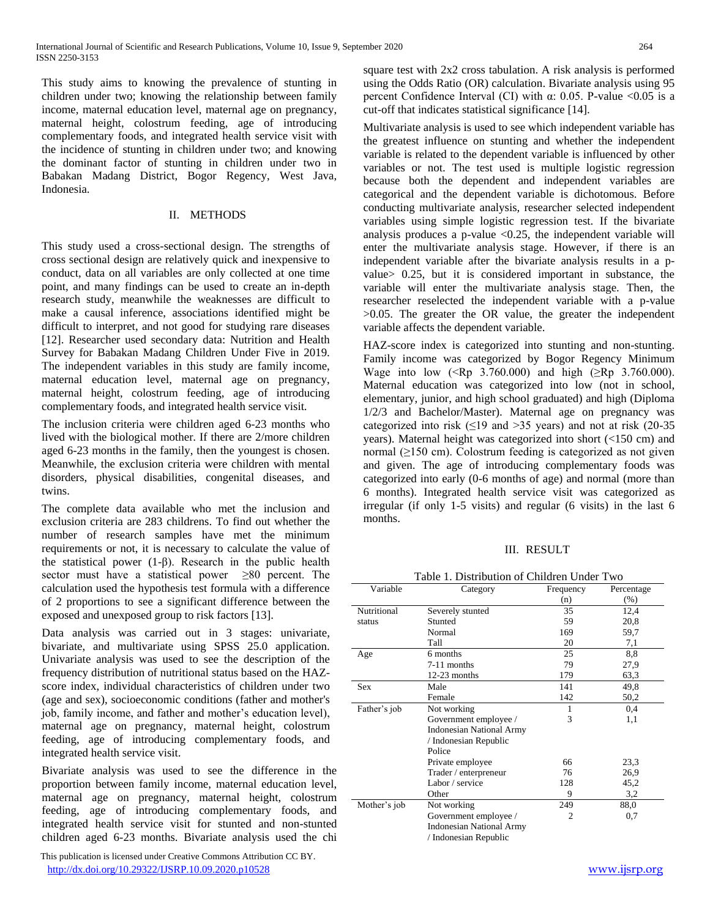This study aims to knowing the prevalence of stunting in children under two; knowing the relationship between family income, maternal education level, maternal age on pregnancy, maternal height, colostrum feeding, age of introducing complementary foods, and integrated health service visit with the incidence of stunting in children under two; and knowing the dominant factor of stunting in children under two in Babakan Madang District, Bogor Regency, West Java, Indonesia.

### II. METHODS

This study used a cross-sectional design. The strengths of cross sectional design are relatively quick and inexpensive to conduct, data on all variables are only collected at one time point, and many findings can be used to create an in-depth research study, meanwhile the weaknesses are difficult to make a causal inference, associations identified might be difficult to interpret, and not good for studying rare diseases [12]. Researcher used secondary data: Nutrition and Health Survey for Babakan Madang Children Under Five in 2019. The independent variables in this study are family income, maternal education level, maternal age on pregnancy, maternal height, colostrum feeding, age of introducing complementary foods, and integrated health service visit.

The inclusion criteria were children aged 6-23 months who lived with the biological mother. If there are 2/more children aged 6-23 months in the family, then the youngest is chosen. Meanwhile, the exclusion criteria were children with mental disorders, physical disabilities, congenital diseases, and twins.

The complete data available who met the inclusion and exclusion criteria are 283 childrens. To find out whether the number of research samples have met the minimum requirements or not, it is necessary to calculate the value of the statistical power (1-β). Research in the public health sector must have a statistical power  $\geq 80$  percent. The calculation used the hypothesis test formula with a difference of 2 proportions to see a significant difference between the exposed and unexposed group to risk factors [13].

Data analysis was carried out in 3 stages: univariate, bivariate, and multivariate using SPSS 25.0 application. Univariate analysis was used to see the description of the frequency distribution of nutritional status based on the HAZscore index, individual characteristics of children under two (age and sex), socioeconomic conditions (father and mother's job, family income, and father and mother's education level), maternal age on pregnancy, maternal height, colostrum feeding, age of introducing complementary foods, and integrated health service visit.

Bivariate analysis was used to see the difference in the proportion between family income, maternal education level, maternal age on pregnancy, maternal height, colostrum feeding, age of introducing complementary foods, and integrated health service visit for stunted and non-stunted children aged 6-23 months. Bivariate analysis used the chi

 This publication is licensed under Creative Commons Attribution CC BY. <http://dx.doi.org/10.29322/IJSRP.10.09.2020.p10528> [www.ijsrp.org](http://ijsrp.org/)

square test with 2x2 cross tabulation. A risk analysis is performed using the Odds Ratio (OR) calculation. Bivariate analysis using 95 percent Confidence Interval (CI) with  $\alpha$ : 0.05. P-value <0.05 is a cut-off that indicates statistical significance [14].

Multivariate analysis is used to see which independent variable has the greatest influence on stunting and whether the independent variable is related to the dependent variable is influenced by other variables or not. The test used is multiple logistic regression because both the dependent and independent variables are categorical and the dependent variable is dichotomous. Before conducting multivariate analysis, researcher selected independent variables using simple logistic regression test. If the bivariate analysis produces a p-value  $< 0.25$ , the independent variable will enter the multivariate analysis stage. However, if there is an independent variable after the bivariate analysis results in a pvalue> 0.25, but it is considered important in substance, the variable will enter the multivariate analysis stage. Then, the researcher reselected the independent variable with a p-value >0.05. The greater the OR value, the greater the independent variable affects the dependent variable.

HAZ-score index is categorized into stunting and non-stunting. Family income was categorized by Bogor Regency Minimum Wage into low (<Rp 3.760.000) and high ( $\ge Rp$  3.760.000). Maternal education was categorized into low (not in school, elementary, junior, and high school graduated) and high (Diploma 1/2/3 and Bachelor/Master). Maternal age on pregnancy was categorized into risk  $(\leq 19$  and  $> 35$  years) and not at risk (20-35 years). Maternal height was categorized into short (<150 cm) and normal  $(≥150$  cm). Colostrum feeding is categorized as not given and given. The age of introducing complementary foods was categorized into early (0-6 months of age) and normal (more than 6 months). Integrated health service visit was categorized as irregular (if only 1-5 visits) and regular (6 visits) in the last 6 months.

#### III. RESULT

Table 1. Distribution of Children Under Two

| Variable     | Category                        | Frequency | Percentage |  |
|--------------|---------------------------------|-----------|------------|--|
|              |                                 | (n)       | (% )       |  |
| Nutritional  | Severely stunted                | 35        | 12,4       |  |
| status       | Stunted                         | 59        | 20,8       |  |
|              | Normal                          | 169       | 59,7       |  |
|              | Tall                            | 20        | 7,1        |  |
| Age          | 6 months                        | 25        | 8,8        |  |
|              | 7-11 months                     | 79        | 27,9       |  |
|              | $12-23$ months                  | 179       | 63,3       |  |
| Sex          | Male                            | 141       | 49.8       |  |
|              | Female                          | 142       | 50,2       |  |
| Father's job | Not working                     |           | 0,4        |  |
|              | Government employee /           | 3         | 1,1        |  |
|              | <b>Indonesian National Army</b> |           |            |  |
|              | / Indonesian Republic           |           |            |  |
|              | Police                          |           |            |  |
|              | Private employee                | 66        | 23,3       |  |
|              | Trader / enterpreneur           | 76        | 26,9       |  |
|              | Labor / service                 | 128       | 45,2       |  |
|              | Other                           | 9         | 3,2        |  |
| Mother's job | Not working                     | 249       | 88,0       |  |
|              | Government employee /<br>2      |           | 0,7        |  |
|              | <b>Indonesian National Army</b> |           |            |  |
|              | / Indonesian Republic           |           |            |  |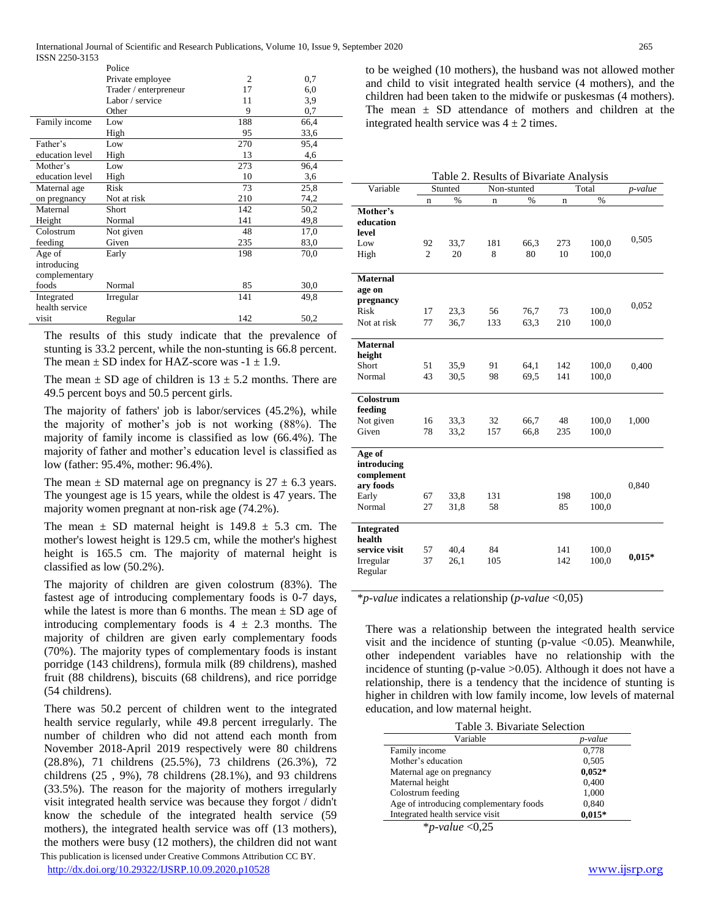International Journal of Scientific and Research Publications, Volume 10, Issue 9, September 2020 265

| ISSN 2250-3153  |                       |                |      |
|-----------------|-----------------------|----------------|------|
|                 | Police                |                |      |
|                 | Private employee      | $\overline{2}$ | 0,7  |
|                 | Trader / enterpreneur | 17             | 6,0  |
|                 | Labor / service       | 11             | 3,9  |
|                 | Other                 | 9              | 0,7  |
| Family income   | Low                   | 188            | 66,4 |
|                 | High                  | 95             | 33,6 |
| Father's        | Low                   | 270            | 95.4 |
| education level | <b>High</b>           | 13             | 4,6  |
| Mother's        | Low                   | 273            | 96.4 |
| education level | High                  | 10             | 3,6  |
| Maternal age    | Risk                  | 73             | 25,8 |
| on pregnancy    | Not at risk           | 210            | 74,2 |
| Maternal        | Short                 | 142            | 50,2 |
| Height          | Normal                | 141            | 49,8 |
| Colostrum       | Not given             | 48             | 17,0 |
| feeding         | Given                 | 235            | 83,0 |
| Age of          | Early                 | 198            | 70,0 |
| introducing     |                       |                |      |
| complementary   |                       |                |      |
| foods           | Normal                | 85             | 30,0 |
| Integrated      | Irregular             | 141            | 49.8 |
| health service  |                       |                |      |
| visit           | Regular               | 142            | 50,2 |

The results of this study indicate that the prevalence of – stunting is 33.2 percent, while the non-stunting is 66.8 percent. The mean  $\pm$  SD index for HAZ-score was -1  $\pm$  1.9.

The mean  $\pm$  SD age of children is  $13 \pm 5.2$  months. There are 49.5 percent boys and 50.5 percent girls.

The majority of fathers' job is labor/services (45.2%), while the majority of mother's job is not working (88%). The majority of family income is classified as low (66.4%). The majority of father and mother's education level is classified as low (father: 95.4%, mother: 96.4%).

The mean  $\pm$  SD maternal age on pregnancy is 27  $\pm$  6.3 years. The youngest age is 15 years, while the oldest is 47 years. The majority women pregnant at non-risk age (74.2%).

The mean  $\pm$  SD maternal height is 149.8  $\pm$  5.3 cm. The mother's lowest height is 129.5 cm, while the mother's highest height is 165.5 cm. The majority of maternal height is classified as low (50.2%).

The majority of children are given colostrum (83%). The fastest age of introducing complementary foods is 0-7 days, while the latest is more than 6 months. The mean  $\pm$  SD age of introducing complementary foods is  $4 \pm 2.3$  months. The majority of children are given early complementary foods (70%). The majority types of complementary foods is instant porridge (143 childrens), formula milk (89 childrens), mashed fruit (88 childrens), biscuits (68 childrens), and rice porridge (54 childrens).

There was 50.2 percent of children went to the integrated health service regularly, while 49.8 percent irregularly. The number of children who did not attend each month from November 2018-April 2019 respectively were 80 childrens (28.8%), 71 childrens (25.5%), 73 childrens (26.3%), 72 childrens (25 , 9%), 78 childrens (28.1%), and 93 childrens (33.5%). The reason for the majority of mothers irregularly visit integrated health service was because they forgot / didn't know the schedule of the integrated health service (59 mothers), the integrated health service was off (13 mothers), the mothers were busy (12 mothers), the children did not want

to be weighed (10 mothers), the husband was not allowed mother and child to visit integrated health service (4 mothers), and the children had been taken to the midwife or puskesmas (4 mothers). The mean  $\pm$  SD attendance of mothers and children at the integrated health service was  $4 \pm 2$  times.

| Table 2. Results of Bivariate Analysis |    |         |             |      |             |       |          |
|----------------------------------------|----|---------|-------------|------|-------------|-------|----------|
| Variable                               |    | Stunted | Non-stunted |      |             | Total | p-value  |
|                                        | n  | %       | n           | $\%$ | $\mathbf n$ | $\%$  |          |
| Mother's                               |    |         |             |      |             |       |          |
| education                              |    |         |             |      |             |       |          |
| level                                  |    |         |             |      |             |       |          |
| Low                                    | 92 | 33,7    | 181         | 66,3 | 273         | 100,0 | 0,505    |
| High                                   | 2  | 20      | 8           | 80   | 10          | 100,0 |          |
|                                        |    |         |             |      |             |       |          |
| <b>Maternal</b>                        |    |         |             |      |             |       |          |
| age on                                 |    |         |             |      |             |       |          |
| pregnancy                              |    |         |             |      |             |       | 0,052    |
| Risk                                   | 17 | 23.3    | 56          | 76,7 | 73          | 100,0 |          |
| Not at risk                            | 77 | 36,7    | 133         | 63.3 | 210         | 100,0 |          |
|                                        |    |         |             |      |             |       |          |
| <b>Maternal</b>                        |    |         |             |      |             |       |          |
| height                                 |    |         |             |      |             |       |          |
| Short                                  | 51 | 35,9    | 91          | 64,1 | 142         | 100,0 | 0,400    |
| Normal                                 | 43 | 30,5    | 98          | 69,5 | 141         | 100,0 |          |
|                                        |    |         |             |      |             |       |          |
| Colostrum                              |    |         |             |      |             |       |          |
| feeding                                |    |         |             |      |             |       |          |
| Not given                              | 16 | 33.3    | 32          | 66,7 | 48          | 100,0 | 1,000    |
| Given                                  | 78 | 33,2    | 157         | 66,8 | 235         | 100,0 |          |
|                                        |    |         |             |      |             |       |          |
| Age of                                 |    |         |             |      |             |       |          |
| introducing                            |    |         |             |      |             |       |          |
| complement                             |    |         |             |      |             |       |          |
| ary foods                              |    |         |             |      |             |       | 0,840    |
| Early                                  | 67 | 33,8    | 131         |      | 198         | 100,0 |          |
| Normal                                 | 27 | 31,8    | 58          |      | 85          | 100,0 |          |
| <b>Integrated</b>                      |    |         |             |      |             |       |          |
| health                                 |    |         |             |      |             |       |          |
| service visit                          | 57 | 40,4    | 84          |      | 141         | 100,0 |          |
| Irregular                              | 37 | 26,1    | 105         |      | 142         | 100,0 | $0,015*$ |
| Regular                                |    |         |             |      |             |       |          |
|                                        |    |         |             |      |             |       |          |

\**p-value* indicates a relationship (*p-value* <0,05)

There was a relationship between the integrated health service visit and the incidence of stunting (p-value  $\langle 0.05 \rangle$ ). Meanwhile, other independent variables have no relationship with the incidence of stunting (p-value >0.05). Although it does not have a relationship, there is a tendency that the incidence of stunting is higher in children with low family income, low levels of maternal education, and low maternal height.

| Table 3. Bivariate Selection           |          |  |  |  |
|----------------------------------------|----------|--|--|--|
| Variable                               | p-value  |  |  |  |
| Family income                          | 0,778    |  |  |  |
| Mother's education                     | 0,505    |  |  |  |
| Maternal age on pregnancy              | $0.052*$ |  |  |  |
| Maternal height                        | 0,400    |  |  |  |
| Colostrum feeding                      | 1,000    |  |  |  |
| Age of introducing complementary foods | 0,840    |  |  |  |
| Integrated health service visit        | $0.015*$ |  |  |  |
| مله<br>$\sqrt{1}$ $\sqrt{2}$           |          |  |  |  |

\**p-value* <0,25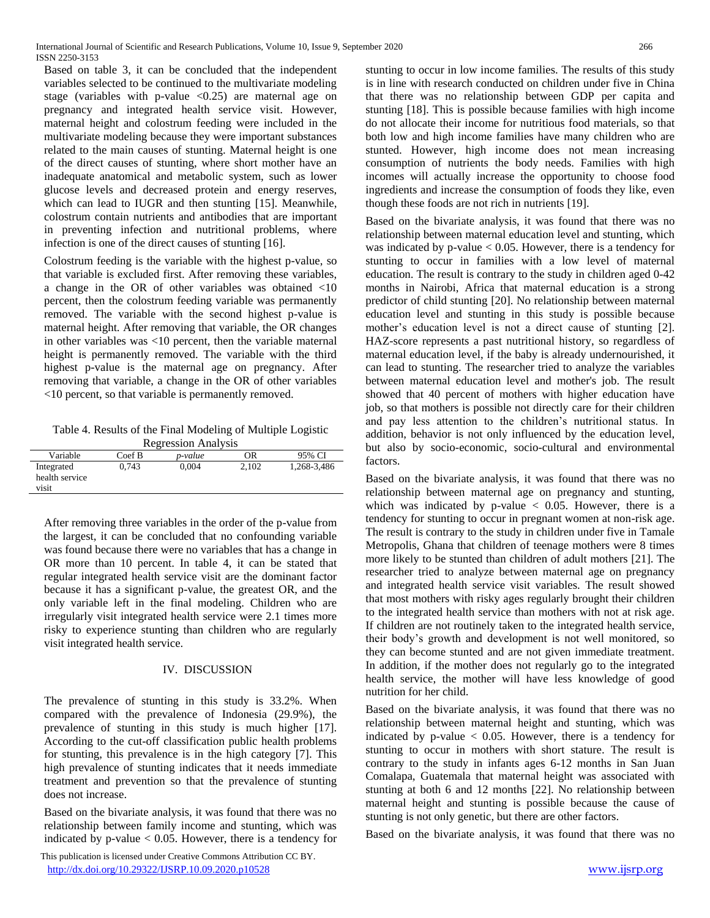Based on table 3, it can be concluded that the independent variables selected to be continued to the multivariate modeling stage (variables with p-value  $\langle 0.25 \rangle$  are maternal age on pregnancy and integrated health service visit. However, maternal height and colostrum feeding were included in the multivariate modeling because they were important substances related to the main causes of stunting. Maternal height is one of the direct causes of stunting, where short mother have an inadequate anatomical and metabolic system, such as lower glucose levels and decreased protein and energy reserves, which can lead to IUGR and then stunting [15]. Meanwhile, colostrum contain nutrients and antibodies that are important in preventing infection and nutritional problems, where infection is one of the direct causes of stunting [16].

Colostrum feeding is the variable with the highest p-value, so that variable is excluded first. After removing these variables, a change in the OR of other variables was obtained <10 percent, then the colostrum feeding variable was permanently removed. The variable with the second highest p-value is maternal height. After removing that variable, the OR changes in other variables was <10 percent, then the variable maternal height is permanently removed. The variable with the third highest p-value is the maternal age on pregnancy. After removing that variable, a change in the OR of other variables <10 percent, so that variable is permanently removed.

Table 4. Results of the Final Modeling of Multiple Logistic Regression Analysis

| Variable       | Coef B | p-value | OR    | 95% CI      |
|----------------|--------|---------|-------|-------------|
| Integrated     | 0.743  | 0.004   | 2.102 | 1.268-3.486 |
| health service |        |         |       |             |
| visit          |        |         |       |             |

After removing three variables in the order of the p-value from the largest, it can be concluded that no confounding variable was found because there were no variables that has a change in OR more than 10 percent. In table 4, it can be stated that regular integrated health service visit are the dominant factor because it has a significant p-value, the greatest OR, and the only variable left in the final modeling. Children who are irregularly visit integrated health service were 2.1 times more risky to experience stunting than children who are regularly visit integrated health service.

# IV. DISCUSSION

The prevalence of stunting in this study is 33.2%. When compared with the prevalence of Indonesia (29.9%), the prevalence of stunting in this study is much higher [17]. According to the cut-off classification public health problems for stunting, this prevalence is in the high category [7]. This high prevalence of stunting indicates that it needs immediate treatment and prevention so that the prevalence of stunting does not increase.

Based on the bivariate analysis, it was found that there was no relationship between family income and stunting, which was indicated by p-value  $< 0.05$ . However, there is a tendency for

 This publication is licensed under Creative Commons Attribution CC BY. <http://dx.doi.org/10.29322/IJSRP.10.09.2020.p10528> [www.ijsrp.org](http://ijsrp.org/)

stunting to occur in low income families. The results of this study is in line with research conducted on children under five in China that there was no relationship between GDP per capita and stunting [18]. This is possible because families with high income do not allocate their income for nutritious food materials, so that both low and high income families have many children who are stunted. However, high income does not mean increasing consumption of nutrients the body needs. Families with high incomes will actually increase the opportunity to choose food ingredients and increase the consumption of foods they like, even though these foods are not rich in nutrients [19].

Based on the bivariate analysis, it was found that there was no relationship between maternal education level and stunting, which was indicated by p-value < 0.05. However, there is a tendency for stunting to occur in families with a low level of maternal education. The result is contrary to the study in children aged 0-42 months in Nairobi, Africa that maternal education is a strong predictor of child stunting [20]. No relationship between maternal education level and stunting in this study is possible because mother's education level is not a direct cause of stunting [2]. HAZ-score represents a past nutritional history, so regardless of maternal education level, if the baby is already undernourished, it can lead to stunting. The researcher tried to analyze the variables between maternal education level and mother's job. The result showed that 40 percent of mothers with higher education have job, so that mothers is possible not directly care for their children and pay less attention to the children's nutritional status. In addition, behavior is not only influenced by the education level, but also by socio-economic, socio-cultural and environmental factors.

Based on the bivariate analysis, it was found that there was no relationship between maternal age on pregnancy and stunting, which was indicated by p-value  $< 0.05$ . However, there is a tendency for stunting to occur in pregnant women at non-risk age. The result is contrary to the study in children under five in Tamale Metropolis, Ghana that children of teenage mothers were 8 times more likely to be stunted than children of adult mothers [21]. The researcher tried to analyze between maternal age on pregnancy and integrated health service visit variables. The result showed that most mothers with risky ages regularly brought their children to the integrated health service than mothers with not at risk age. If children are not routinely taken to the integrated health service, their body's growth and development is not well monitored, so they can become stunted and are not given immediate treatment. In addition, if the mother does not regularly go to the integrated health service, the mother will have less knowledge of good nutrition for her child.

Based on the bivariate analysis, it was found that there was no relationship between maternal height and stunting, which was indicated by p-value  $< 0.05$ . However, there is a tendency for stunting to occur in mothers with short stature. The result is contrary to the study in infants ages 6-12 months in San Juan Comalapa, Guatemala that maternal height was associated with stunting at both 6 and 12 months [22]. No relationship between maternal height and stunting is possible because the cause of stunting is not only genetic, but there are other factors.

Based on the bivariate analysis, it was found that there was no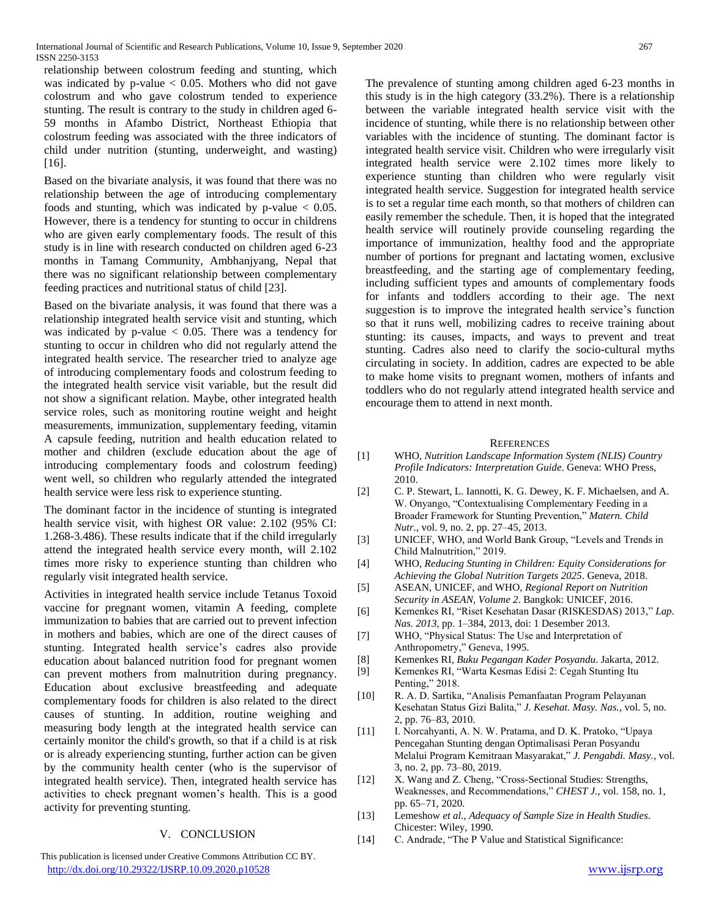relationship between colostrum feeding and stunting, which was indicated by  $p$ -value  $< 0.05$ . Mothers who did not gave colostrum and who gave colostrum tended to experience stunting. The result is contrary to the study in children aged 6- 59 months in Afambo District, Northeast Ethiopia that colostrum feeding was associated with the three indicators of child under nutrition (stunting, underweight, and wasting) [16].

Based on the bivariate analysis, it was found that there was no relationship between the age of introducing complementary foods and stunting, which was indicated by  $p$ -value  $< 0.05$ . However, there is a tendency for stunting to occur in childrens who are given early complementary foods. The result of this study is in line with research conducted on children aged 6-23 months in Tamang Community, Ambhanjyang, Nepal that there was no significant relationship between complementary feeding practices and nutritional status of child [23].

Based on the bivariate analysis, it was found that there was a relationship integrated health service visit and stunting, which was indicated by p-value  $< 0.05$ . There was a tendency for stunting to occur in children who did not regularly attend the integrated health service. The researcher tried to analyze age of introducing complementary foods and colostrum feeding to the integrated health service visit variable, but the result did not show a significant relation. Maybe, other integrated health service roles, such as monitoring routine weight and height measurements, immunization, supplementary feeding, vitamin A capsule feeding, nutrition and health education related to mother and children (exclude education about the age of introducing complementary foods and colostrum feeding) went well, so children who regularly attended the integrated health service were less risk to experience stunting.

The dominant factor in the incidence of stunting is integrated health service visit, with highest OR value: 2.102 (95% CI: 1.268-3.486). These results indicate that if the child irregularly attend the integrated health service every month, will 2.102 times more risky to experience stunting than children who regularly visit integrated health service.

Activities in integrated health service include Tetanus Toxoid vaccine for pregnant women, vitamin A feeding, complete immunization to babies that are carried out to prevent infection in mothers and babies, which are one of the direct causes of stunting. Integrated health service's cadres also provide education about balanced nutrition food for pregnant women can prevent mothers from malnutrition during pregnancy. Education about exclusive breastfeeding and adequate complementary foods for children is also related to the direct causes of stunting. In addition, routine weighing and measuring body length at the integrated health service can certainly monitor the child's growth, so that if a child is at risk or is already experiencing stunting, further action can be given by the community health center (who is the supervisor of integrated health service). Then, integrated health service has activities to check pregnant women's health. This is a good activity for preventing stunting.

# V. CONCLUSION

 This publication is licensed under Creative Commons Attribution CC BY. <http://dx.doi.org/10.29322/IJSRP.10.09.2020.p10528> [www.ijsrp.org](http://ijsrp.org/)

The prevalence of stunting among children aged 6-23 months in this study is in the high category (33.2%). There is a relationship between the variable integrated health service visit with the incidence of stunting, while there is no relationship between other variables with the incidence of stunting. The dominant factor is integrated health service visit. Children who were irregularly visit integrated health service were 2.102 times more likely to experience stunting than children who were regularly visit integrated health service. Suggestion for integrated health service is to set a regular time each month, so that mothers of children can easily remember the schedule. Then, it is hoped that the integrated health service will routinely provide counseling regarding the importance of immunization, healthy food and the appropriate number of portions for pregnant and lactating women, exclusive breastfeeding, and the starting age of complementary feeding, including sufficient types and amounts of complementary foods for infants and toddlers according to their age. The next suggestion is to improve the integrated health service's function so that it runs well, mobilizing cadres to receive training about stunting: its causes, impacts, and ways to prevent and treat stunting. Cadres also need to clarify the socio-cultural myths circulating in society. In addition, cadres are expected to be able to make home visits to pregnant women, mothers of infants and toddlers who do not regularly attend integrated health service and encourage them to attend in next month.

### **REFERENCES**

- [1] WHO, *Nutrition Landscape Information System (NLIS) Country Profile Indicators: Interpretation Guide*. Geneva: WHO Press, 2010.
- [2] C. P. Stewart, L. Iannotti, K. G. Dewey, K. F. Michaelsen, and A. W. Onyango, "Contextualising Complementary Feeding in a Broader Framework for Stunting Prevention," *Matern. Child Nutr.*, vol. 9, no. 2, pp. 27–45, 2013.
- [3] UNICEF, WHO, and World Bank Group, "Levels and Trends in Child Malnutrition," 2019.
- [4] WHO, *Reducing Stunting in Children: Equity Considerations for Achieving the Global Nutrition Targets 2025*. Geneva, 2018.
- [5] ASEAN, UNICEF, and WHO, *Regional Report on Nutrition Security in ASEAN, Volume 2*. Bangkok: UNICEF, 2016.
- [6] Kemenkes RI, "Riset Kesehatan Dasar (RISKESDAS) 2013," *Lap. Nas. 2013*, pp. 1–384, 2013, doi: 1 Desember 2013.
- [7] WHO, "Physical Status: The Use and Interpretation of Anthropometry," Geneva, 1995.
- [8] Kemenkes RI, *Buku Pegangan Kader Posyandu*. Jakarta, 2012.
- [9] Kemenkes RI, "Warta Kesmas Edisi 2: Cegah Stunting Itu Penting," 2018.
- [10] R. A. D. Sartika, "Analisis Pemanfaatan Program Pelayanan Kesehatan Status Gizi Balita," *J. Kesehat. Masy. Nas.*, vol. 5, no. 2, pp. 76–83, 2010.
- [11] I. Norcahyanti, A. N. W. Pratama, and D. K. Pratoko, "Upaya" Pencegahan Stunting dengan Optimalisasi Peran Posyandu Melalui Program Kemitraan Masyarakat," *J. Pengabdi. Masy.*, vol. 3, no. 2, pp. 73–80, 2019.
- [12] X. Wang and Z. Cheng, "Cross-Sectional Studies: Strengths, Weaknesses, and Recommendations," *CHEST J.*, vol. 158, no. 1, pp. 65–71, 2020.
- [13] Lemeshow *et al.*, *Adequacy of Sample Size in Health Studies*. Chicester: Wiley, 1990.
- [14] C. Andrade, "The P Value and Statistical Significance: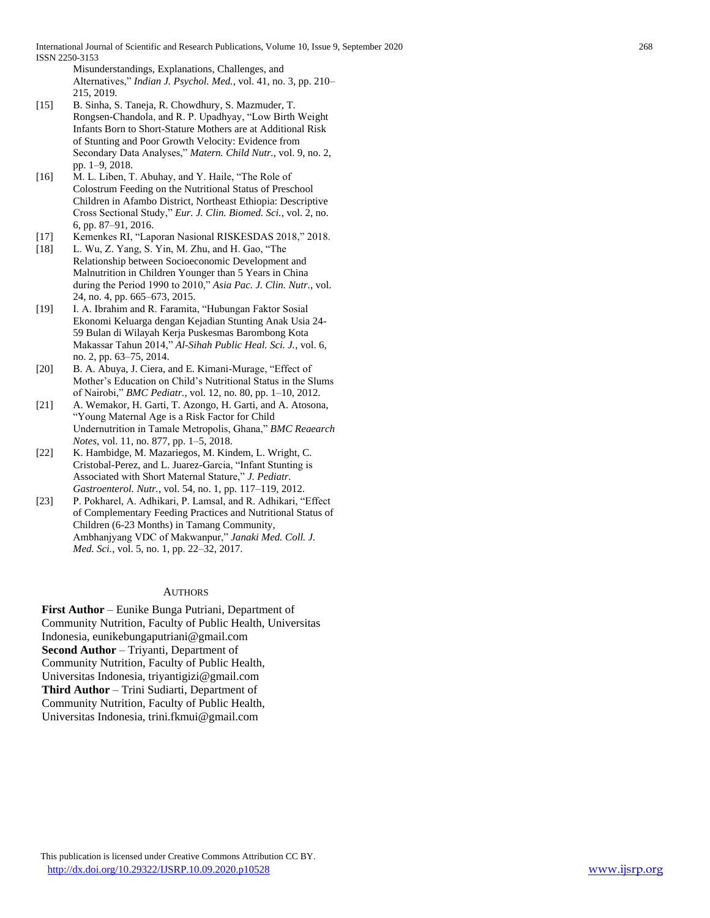Misunderstandings, Explanations, Challenges, and Alternatives," *Indian J. Psychol. Med.*, vol. 41, no. 3, pp. 210– 215, 2019.

- [15] B. Sinha, S. Taneja, R. Chowdhury, S. Mazmuder, T. Rongsen-Chandola, and R. P. Upadhyay, "Low Birth Weight Infants Born to Short-Stature Mothers are at Additional Risk of Stunting and Poor Growth Velocity: Evidence from Secondary Data Analyses," *Matern. Child Nutr.*, vol. 9, no. 2, pp. 1–9, 2018.
- [16] M. L. Liben, T. Abuhay, and Y. Haile, "The Role of Colostrum Feeding on the Nutritional Status of Preschool Children in Afambo District, Northeast Ethiopia: Descriptive Cross Sectional Study," *Eur. J. Clin. Biomed. Sci.*, vol. 2, no. 6, pp. 87–91, 2016.
- [17] Kemenkes RI, "Laporan Nasional RISKESDAS 2018," 2018.
- [18] L. Wu, Z. Yang, S. Yin, M. Zhu, and H. Gao, "The Relationship between Socioeconomic Development and Malnutrition in Children Younger than 5 Years in China during the Period 1990 to 2010," *Asia Pac. J. Clin. Nutr.*, vol. 24, no. 4, pp. 665–673, 2015.
- [19] I. A. Ibrahim and R. Faramita, "Hubungan Faktor Sosial Ekonomi Keluarga dengan Kejadian Stunting Anak Usia 24- 59 Bulan di Wilayah Kerja Puskesmas Barombong Kota Makassar Tahun 2014," *Al-Sihah Public Heal. Sci. J.*, vol. 6, no. 2, pp. 63–75, 2014.
- [20] B. A. Abuya, J. Ciera, and E. Kimani-Murage, "Effect of Mother's Education on Child's Nutritional Status in the Slums of Nairobi," *BMC Pediatr.*, vol. 12, no. 80, pp. 1–10, 2012.
- [21] A. Wemakor, H. Garti, T. Azongo, H. Garti, and A. Atosona, "Young Maternal Age is a Risk Factor for Child Undernutrition in Tamale Metropolis, Ghana," *BMC Reaearch Notes*, vol. 11, no. 877, pp. 1–5, 2018.
- [22] K. Hambidge, M. Mazariegos, M. Kindem, L. Wright, C. Cristobal-Perez, and L. Juarez-Garcia, "Infant Stunting is Associated with Short Maternal Stature," *J. Pediatr. Gastroenterol. Nutr.*, vol. 54, no. 1, pp. 117–119, 2012.
- [23] P. Pokharel, A. Adhikari, P. Lamsal, and R. Adhikari, "Effect of Complementary Feeding Practices and Nutritional Status of Children (6-23 Months) in Tamang Community, Ambhanjyang VDC of Makwanpur," *Janaki Med. Coll. J. Med. Sci.*, vol. 5, no. 1, pp. 22–32, 2017.

# **AUTHORS**

**First Author** – Eunike Bunga Putriani, Department of Community Nutrition, Faculty of Public Health, Universitas Indonesia, eunikebungaputriani@gmail.com **Second Author** – Triyanti, Department of Community Nutrition, Faculty of Public Health, Universitas Indonesia, triyantigizi@gmail.com **Third Author** – Trini Sudiarti, Department of Community Nutrition, Faculty of Public Health, Universitas Indonesia, trini.fkmui@gmail.com